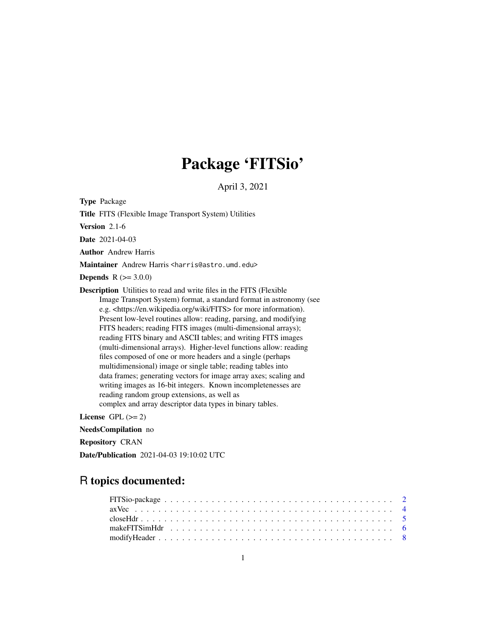# Package 'FITSio'

April 3, 2021

<span id="page-0-0"></span>Type Package

Title FITS (Flexible Image Transport System) Utilities

Version 2.1-6

Date 2021-04-03

Author Andrew Harris

Maintainer Andrew Harris <harris@astro.umd.edu>

**Depends**  $R (= 3.0.0)$ 

Description Utilities to read and write files in the FITS (Flexible Image Transport System) format, a standard format in astronomy (see e.g. <https://en.wikipedia.org/wiki/FITS> for more information). Present low-level routines allow: reading, parsing, and modifying FITS headers; reading FITS images (multi-dimensional arrays); reading FITS binary and ASCII tables; and writing FITS images (multi-dimensional arrays). Higher-level functions allow: reading files composed of one or more headers and a single (perhaps multidimensional) image or single table; reading tables into data frames; generating vectors for image array axes; scaling and writing images as 16-bit integers. Known incompletenesses are reading random group extensions, as well as complex and array descriptor data types in binary tables.

License GPL  $(>= 2)$ 

NeedsCompilation no

Repository CRAN

Date/Publication 2021-04-03 19:10:02 UTC

# R topics documented: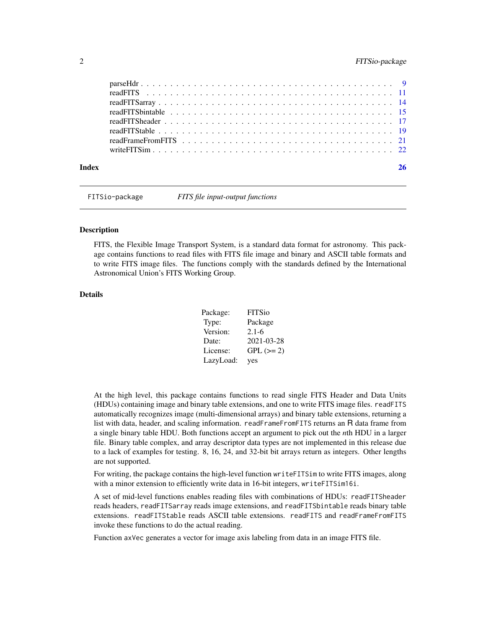<span id="page-1-0"></span>

| Index | 26 |
|-------|----|

FITSio-package *FITS file input-output functions*

### Description

FITS, the Flexible Image Transport System, is a standard data format for astronomy. This package contains functions to read files with FITS file image and binary and ASCII table formats and to write FITS image files. The functions comply with the standards defined by the International Astronomical Union's FITS Working Group.

# Details

| Package:  | <b>FITSio</b> |
|-----------|---------------|
| Type:     | Package       |
| Version:  | $2.1 - 6$     |
| Date:     | 2021-03-28    |
| License:  | $GPL (=2)$    |
| LazyLoad: | yes           |

At the high level, this package contains functions to read single FITS Header and Data Units (HDUs) containing image and binary table extensions, and one to write FITS image files. readFITS automatically recognizes image (multi-dimensional arrays) and binary table extensions, returning a list with data, header, and scaling information. readFrameFromFITS returns an R data frame from a single binary table HDU. Both functions accept an argument to pick out the *n*th HDU in a larger file. Binary table complex, and array descriptor data types are not implemented in this release due to a lack of examples for testing. 8, 16, 24, and 32-bit bit arrays return as integers. Other lengths are not supported.

For writing, the package contains the high-level function writeFITSim to write FITS images, along with a minor extension to efficiently write data in 16-bit integers, writeFITSim16i.

A set of mid-level functions enables reading files with combinations of HDUs: readFITSheader reads headers, readFITSarray reads image extensions, and readFITSbintable reads binary table extensions. readFITStable reads ASCII table extensions. readFITS and readFrameFromFITS invoke these functions to do the actual reading.

Function axVec generates a vector for image axis labeling from data in an image FITS file.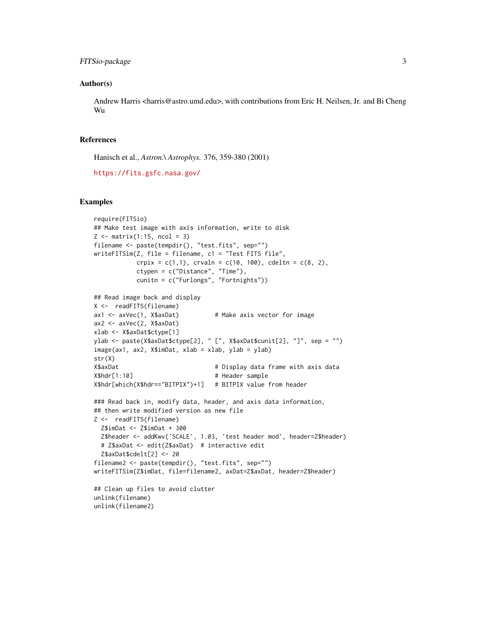# FITSio-package 3

#### Author(s)

Andrew Harris <harris@astro.umd.edu>, with contributions from Eric H. Neilsen, Jr. and Bi Cheng Wu

#### References

Hanisch et al., *Astron.\ Astrophys.* 376, 359-380 (2001)

```
https://fits.gsfc.nasa.gov/
```

```
require(FITSio)
## Make test image with axis information, write to disk
Z \leftarrow \text{matrix}(1:15, \text{ ncol} = 3)filename <- paste(tempdir(), "test.fits", sep="")
writeFITSim(Z, file = filename, c1 = "Test FITS file",
           crpix = c(1,1), crvaln = c(10, 100), cdeltn = c(8, 2),
           ctypen = c("Distance", "Time"),
           cunitn = c("Furlongs", "Fortnights"))
## Read image back and display
X <- readFITS(filename)
ax1 <- axVec(1, X$axDat) # Make axis vector for image
ax2 <- axVec(2, X$axDat)
xlab <- X$axDat$ctype[1]
ylab <- paste(X$axDat$ctype[2], " [", X$axDat$cunit[2], "]", sep = "")
image(ax1, ax2, X$imDat, xlab = xlab, ylab = ylab)
str(X)
X$axDat # Display data frame with axis data
X$hdr[1:10] # Header sample
X$hdr[which(X$hdr=="BITPIX")+1] # BITPIX value from header
### Read back in, modify data, header, and axis data information,
## then write modified version as new file
Z <- readFITS(filename)
 Z$imDat <- Z$imDat + 300
 Z$header <- addKwv('SCALE', 1.03, 'test header mod', header=Z$header)
 # Z$axDat <- edit(Z$axDat) # interactive edit
 Z$axDat$cdelt[2] <- 20
filename2 <- paste(tempdir(), "test.fits", sep="")
writeFITSim(Z$imDat, file=filename2, axDat=Z$axDat, header=Z$header)
## Clean up files to avoid clutter
unlink(filename)
unlink(filename2)
```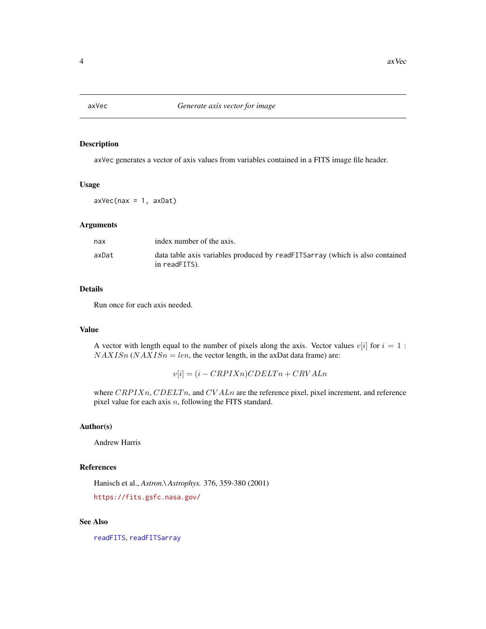<span id="page-3-0"></span>

# Description

axVec generates a vector of axis values from variables contained in a FITS image file header.

#### Usage

 $axVec(max = 1, axDat)$ 

### Arguments

| nax   | index number of the axis.                                                                     |
|-------|-----------------------------------------------------------------------------------------------|
| axDat | data table axis variables produced by readFITSarray (which is also contained<br>in readFITS). |

### Details

Run once for each axis needed.

#### Value

A vector with length equal to the number of pixels along the axis. Vector values  $v[i]$  for  $i = 1$ :  $NAXISn (NAXISn = len,$  the vector length, in the axDat data frame) are:

 $v[i] = (i - CRPIXn)CDELTn + CRVALn$ 

where  $CRPIXn$ ,  $CDELTn$ , and  $CVALn$  are the reference pixel, pixel increment, and reference pixel value for each axis  $n$ , following the FITS standard.

# Author(s)

Andrew Harris

# References

Hanisch et al., *Astron.\ Astrophys.* 376, 359-380 (2001) <https://fits.gsfc.nasa.gov/>

# See Also

[readFITS](#page-10-1), [readFITSarray](#page-13-1)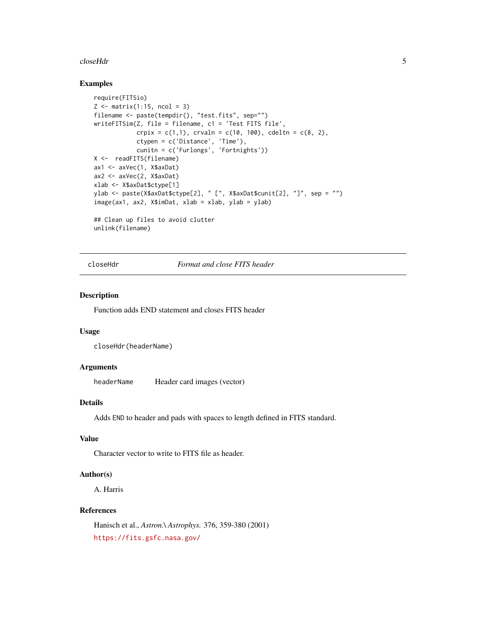#### <span id="page-4-0"></span>closeHdr 5

# Examples

```
require(FITSio)
Z \le matrix(1:15, ncol = 3)
filename <- paste(tempdir(), "test.fits", sep="")
writeFITSim(Z, file = filename, c1 = 'Test FITS file',
            crpix = c(1,1), crvaln = c(10, 100), cdeltn = c(8, 2),
            ctypen = c('Distance', 'Time'),
            cunitn = c('Furlongs', 'Fortnights'))
X <- readFITS(filename)
ax1 <- axVec(1, X$axDat)
ax2 <- axVec(2, X$axDat)
xlab <- X$axDat$ctype[1]
ylab <- paste(X$axDat$ctype[2], " [", X$axDat$cunit[2], "]", sep = "")
image(ax1, ax2, X$imDat, xlab = xlab, ylab = ylab)
## Clean up files to avoid clutter
unlink(filename)
```
<span id="page-4-1"></span>closeHdr *Format and close FITS header*

#### Description

Function adds END statement and closes FITS header

#### Usage

closeHdr(headerName)

# Arguments

headerName Header card images (vector)

# Details

Adds END to header and pads with spaces to length defined in FITS standard.

# Value

Character vector to write to FITS file as header.

#### Author(s)

A. Harris

# References

Hanisch et al., *Astron.\ Astrophys.* 376, 359-380 (2001) <https://fits.gsfc.nasa.gov/>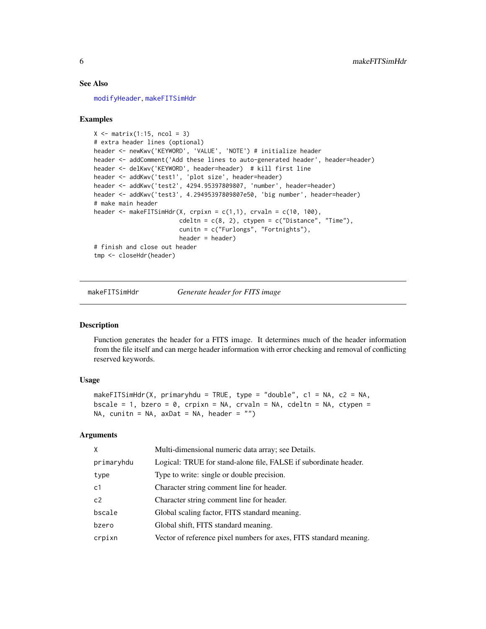#### See Also

[modifyHeader](#page-7-1), [makeFITSimHdr](#page-5-1)

#### Examples

```
X \leftarrow matrix(1:15, ncol = 3)# extra header lines (optional)
header <- newKwv('KEYWORD', 'VALUE', 'NOTE') # initialize header
header <- addComment('Add these lines to auto-generated header', header=header)
header <- delKwv('KEYWORD', header=header) # kill first line
header <- addKwv('test1', 'plot size', header=header)
header <- addKwv('test2', 4294.95397809807, 'number', header=header)
header <- addKwv('test3', 4.29495397809807e50, 'big number', header=header)
# make main header
header <- makeFITSimHdr(X, crpixn = c(1,1), crvaln = c(10, 100),
                        cdeltn = c(8, 2), ctypen = c("Distance", "Time"),cunitn = c("Furlongs", "Fortnights"),
                        header = header)
# finish and close out header
tmp <- closeHdr(header)
```
<span id="page-5-1"></span>makeFITSimHdr *Generate header for FITS image*

#### Description

Function generates the header for a FITS image. It determines much of the header information from the file itself and can merge header information with error checking and removal of conflicting reserved keywords.

#### Usage

```
makeFITSimHdr(X, primaryhdu = TRUE, type = "double", c1 = NA, c2 = NA,
bscale = 1, bzero = 0, crpixn = NA, crvaln = NA, cdeltn = NA, ctypen =
NA, cunitn = NA, axDat = NA, header = "")
```
#### **Arguments**

| X              | Multi-dimensional numeric data array; see Details.                 |
|----------------|--------------------------------------------------------------------|
| primaryhdu     | Logical: TRUE for stand-alone file, FALSE if subordinate header.   |
| type           | Type to write: single or double precision.                         |
| c <sub>1</sub> | Character string comment line for header.                          |
| c <sub>2</sub> | Character string comment line for header.                          |
| bscale         | Global scaling factor, FITS standard meaning.                      |
| bzero          | Global shift, FITS standard meaning.                               |
| crpixn         | Vector of reference pixel numbers for axes, FITS standard meaning. |

<span id="page-5-0"></span>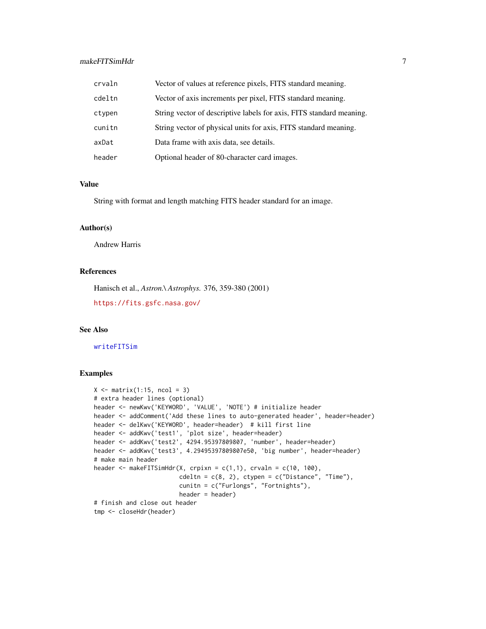# <span id="page-6-0"></span>makeFITSimHdr 7

| crvaln | Vector of values at reference pixels, FITS standard meaning.         |
|--------|----------------------------------------------------------------------|
| cdeltn | Vector of axis increments per pixel, FITS standard meaning.          |
| ctypen | String vector of descriptive labels for axis, FITS standard meaning. |
| cunitn | String vector of physical units for axis, FITS standard meaning.     |
| axDat  | Data frame with axis data, see details.                              |
| header | Optional header of 80-character card images.                         |

# Value

String with format and length matching FITS header standard for an image.

#### Author(s)

Andrew Harris

# References

Hanisch et al., *Astron.\ Astrophys.* 376, 359-380 (2001)

<https://fits.gsfc.nasa.gov/>

# See Also

[writeFITSim](#page-21-1)

```
X \leftarrow matrix(1:15, ncol = 3)# extra header lines (optional)
header <- newKwv('KEYWORD', 'VALUE', 'NOTE') # initialize header
header <- addComment('Add these lines to auto-generated header', header=header)
header <- delKwv('KEYWORD', header=header) # kill first line
header <- addKwv('test1', 'plot size', header=header)
header <- addKwv('test2', 4294.95397809807, 'number', header=header)
header <- addKwv('test3', 4.29495397809807e50, 'big number', header=header)
# make main header
header \leq makeFITSimHdr(X, crpixn = c(1,1), crvaln = c(10, 100),
                        cdelta = c(8, 2), ctype = c("Distance", "Time"),cunitn = c("Furlongs", "Fortnights"),
                        header = header)
# finish and close out header
tmp <- closeHdr(header)
```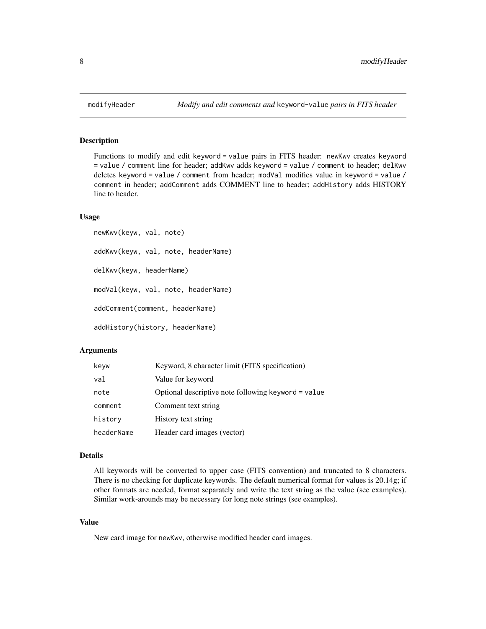#### Description

Functions to modify and edit keyword = value pairs in FITS header: newKwv creates keyword = value / comment line for header; addKwv adds keyword = value / comment to header; delKwv deletes keyword = value / comment from header; modVal modifies value in keyword = value / comment in header; addComment adds COMMENT line to header; addHistory adds HISTORY line to header.

#### Usage

```
newKwv(keyw, val, note)
addKwv(keyw, val, note, headerName)
delKwv(keyw, headerName)
modVal(keyw, val, note, headerName)
addComment(comment, headerName)
addHistory(history, headerName)
```
#### Arguments

| keyw       | Keyword, 8 character limit (FITS specification)     |
|------------|-----------------------------------------------------|
| val        | Value for keyword                                   |
| note       | Optional descriptive note following keyword = value |
| comment    | Comment text string                                 |
| historv    | History text string                                 |
| headerName | Header card images (vector)                         |

#### Details

All keywords will be converted to upper case (FITS convention) and truncated to 8 characters. There is no checking for duplicate keywords. The default numerical format for values is 20.14g; if other formats are needed, format separately and write the text string as the value (see examples). Similar work-arounds may be necessary for long note strings (see examples).

#### Value

New card image for newKwv, otherwise modified header card images.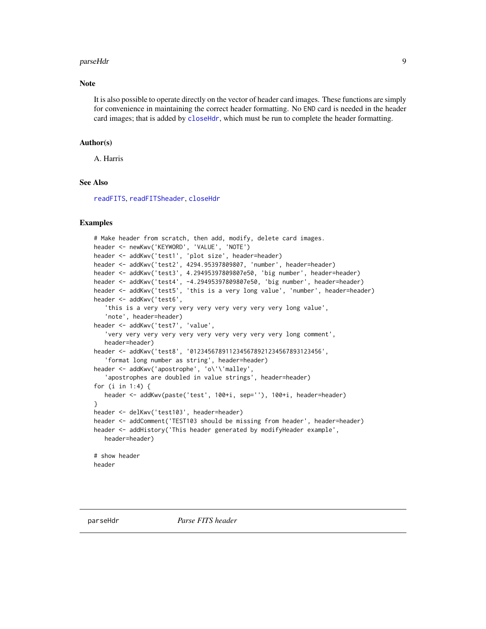#### <span id="page-8-0"></span>parseHdr 9

#### Note

It is also possible to operate directly on the vector of header card images. These functions are simply for convenience in maintaining the correct header formatting. No END card is needed in the header card images; that is added by [closeHdr](#page-4-1), which must be run to complete the header formatting.

#### Author(s)

A. Harris

# See Also

[readFITS](#page-10-1), [readFITSheader](#page-16-1), [closeHdr](#page-4-1)

```
# Make header from scratch, then add, modify, delete card images.
header <- newKwv('KEYWORD', 'VALUE', 'NOTE')
header <- addKwv('test1', 'plot size', header=header)
header <- addKwv('test2', 4294.95397809807, 'number', header=header)
header <- addKwv('test3', 4.29495397809807e50, 'big number', header=header)
header <- addKwv('test4', -4.29495397809807e50, 'big number', header=header)
header <- addKwv('test5', 'this is a very long value', 'number', header=header)
header <- addKwv('test6',
   'this is a very very very very very very very very long value',
   'note', header=header)
header <- addKwv('test7', 'value',
   'very very very very very very very very very very long comment',
   header=header)
header <- addKwv('test8', '0123456789112345678921234567893123456',
   'format long number as string', header=header)
header <- addKwv('apostrophe', 'o\'\'malley',
   'apostrophes are doubled in value strings', header=header)
for (i in 1:4) {
  header <- addKwv(paste('test', 100+i, sep=''), 100+i, header=header)
}
header <- delKwv('test103', header=header)
header <- addComment('TEST103 should be missing from header', header=header)
header <- addHistory('This header generated by modifyHeader example',
   header=header)
# show header
header
```
<span id="page-8-1"></span>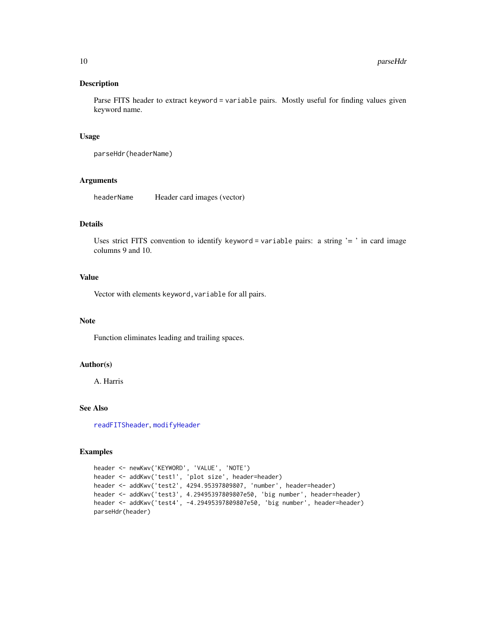# Description

Parse FITS header to extract keyword = variable pairs. Mostly useful for finding values given keyword name.

#### Usage

parseHdr(headerName)

#### Arguments

headerName Header card images (vector)

# Details

Uses strict FITS convention to identify keyword = variable pairs: a string  $\prime$  =  $\prime$  in card image columns 9 and 10.

# Value

Vector with elements keyword, variable for all pairs.

#### Note

Function eliminates leading and trailing spaces.

# Author(s)

A. Harris

#### See Also

[readFITSheader](#page-16-1), [modifyHeader](#page-7-1)

```
header <- newKwv('KEYWORD', 'VALUE', 'NOTE')
header <- addKwv('test1', 'plot size', header=header)
header <- addKwv('test2', 4294.95397809807, 'number', header=header)
header <- addKwv('test3', 4.29495397809807e50, 'big number', header=header)
header <- addKwv('test4', -4.29495397809807e50, 'big number', header=header)
parseHdr(header)
```
<span id="page-9-0"></span>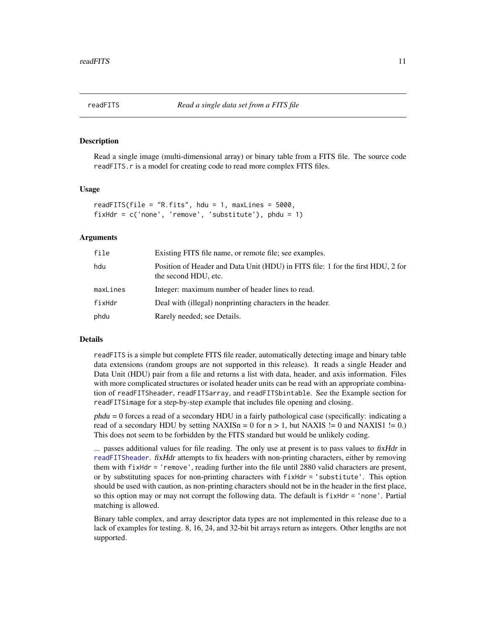<span id="page-10-1"></span><span id="page-10-0"></span>

#### **Description**

Read a single image (multi-dimensional array) or binary table from a FITS file. The source code readFITS.r is a model for creating code to read more complex FITS files.

#### Usage

```
readFITS(file = "R.fits", hdu = 1, maxLines = 5000,
fixHdr = c('none', 'remove', 'substitute'), phdu = 1)
```
#### Arguments

| file     | Existing FITS file name, or remote file; see examples.                                                  |
|----------|---------------------------------------------------------------------------------------------------------|
| hdu      | Position of Header and Data Unit (HDU) in FITS file: 1 for the first HDU, 2 for<br>the second HDU, etc. |
| maxLines | Integer: maximum number of header lines to read.                                                        |
| fixHdr   | Deal with (illegal) nonprinting characters in the header.                                               |
| phdu     | Rarely needed; see Details.                                                                             |

#### Details

readFITS is a simple but complete FITS file reader, automatically detecting image and binary table data extensions (random groups are not supported in this release). It reads a single Header and Data Unit (HDU) pair from a file and returns a list with data, header, and axis information. Files with more complicated structures or isolated header units can be read with an appropriate combination of readFITSheader, readFITSarray, and readFITSbintable. See the Example section for readFITSimage for a step-by-step example that includes file opening and closing.

phdu = 0 forces a read of a secondary HDU in a fairly pathological case (specifically: indicating a read of a secondary HDU by setting  $NAXISn = 0$  for  $n > 1$ , but  $NAXIS := 0$  and  $NAXIS1 := 0$ . This does not seem to be forbidden by the FITS standard but would be unlikely coding.

... passes additional values for file reading. The only use at present is to pass values to fixHdr in [readFITSheader](#page-16-1). fixHdr attempts to fix headers with non-printing characters, either by removing them with fixHdr = 'remove', reading further into the file until 2880 valid characters are present, or by substituting spaces for non-printing characters with fixHdr = 'substitute'. This option should be used with caution, as non-printing characters should not be in the header in the first place, so this option may or may not corrupt the following data. The default is  $f$ ixHdr = 'none'. Partial matching is allowed.

Binary table complex, and array descriptor data types are not implemented in this release due to a lack of examples for testing. 8, 16, 24, and 32-bit bit arrays return as integers. Other lengths are not supported.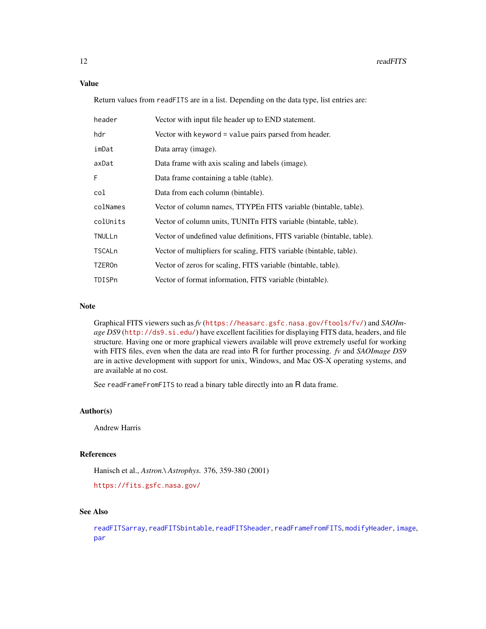#### <span id="page-11-0"></span>Value

Return values from readFITS are in a list. Depending on the data type, list entries are:

| header        | Vector with input file header up to END statement.                      |
|---------------|-------------------------------------------------------------------------|
| hdr           | Vector with keyword = value pairs parsed from header.                   |
| imDat         | Data array (image).                                                     |
| axDat         | Data frame with axis scaling and labels (image).                        |
| F             | Data frame containing a table (table).                                  |
| col           | Data from each column (bintable).                                       |
| colNames      | Vector of column names, TTYPEn FITS variable (bintable, table).         |
| colUnits      | Vector of column units, TUNIT FITS variable (bintable, table).          |
| TNULLn        | Vector of undefined value definitions, FITS variable (bintable, table). |
| TSCALn        | Vector of multipliers for scaling, FITS variable (bintable, table).     |
| <b>TZEROn</b> | Vector of zeros for scaling, FITS variable (bintable, table).           |
| TDISPn        | Vector of format information, FITS variable (bintable).                 |

# Note

Graphical FITS viewers such as *fv* (<https://heasarc.gsfc.nasa.gov/ftools/fv/>) and *SAOImage DS9* (<http://ds9.si.edu/>) have excellent facilities for displaying FITS data, headers, and file structure. Having one or more graphical viewers available will prove extremely useful for working with FITS files, even when the data are read into R for further processing. *fv* and *SAOImage DS9* are in active development with support for unix, Windows, and Mac OS-X operating systems, and are available at no cost.

See readFrameFromFITS to read a binary table directly into an R data frame.

# Author(s)

Andrew Harris

# References

Hanisch et al., *Astron.\ Astrophys.* 376, 359-380 (2001)

<https://fits.gsfc.nasa.gov/>

# See Also

[readFITSarray](#page-13-1), [readFITSbintable](#page-14-1), [readFITSheader](#page-16-1), [readFrameFromFITS](#page-20-1), [modifyHeader](#page-7-1), [image](#page-0-0), [par](#page-0-0)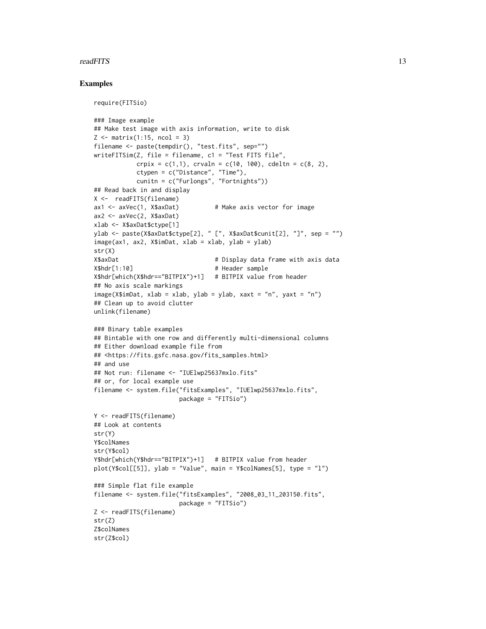#### readFITS 13

```
require(FITSio)
### Image example
## Make test image with axis information, write to disk
Z \leftarrow \text{matrix}(1:15, \text{ ncol} = 3)filename <- paste(tempdir(), "test.fits", sep="")
writeFITSim(Z, file = filename, c1 = "Test FITS file",
            crpix = c(1,1), crvahn = c(10, 100), cdeltn = c(8, 2),
            ctypen = c("Distance", "Time"),
            cunitn = c("Furlongs", "Fortnights"))
## Read back in and display
X <- readFITS(filename)
ax1 \le -axVec(1, X$axDat) # Make axis vector for image
ax2 <- axVec(2, X$axDat)
xlab <- X$axDat$ctype[1]
ylab <- paste(X$axDat$ctype[2], " [", X$axDat$cunit[2], "]", sep = "")
image(ax1, ax2, X$imDat, xlab = xlab, ylab = ylab)
str(X)
X$axDat All accord 12 Times 2018 4 Display data frame with axis data
X$hdr[1:10] # Header sample
X$hdr[which(X$hdr=="BITPIX")+1] # BITPIX value from header
## No axis scale markings
image(X$imData, xlab = xlab, ylab = ylab, xaxt = "n", yaxt = "n")## Clean up to avoid clutter
unlink(filename)
### Binary table examples
## Bintable with one row and differently multi-dimensional columns
## Either download example file from
## <https://fits.gsfc.nasa.gov/fits_samples.html>
## and use
## Not run: filename <- "IUElwp25637mxlo.fits"
## or, for local example use
filename <- system.file("fitsExamples", "IUElwp25637mxlo.fits",
                        package = "FITSio")
Y <- readFITS(filename)
## Look at contents
str(Y)
Y$colNames
str(Y$col)
Y$hdr[which(Y$hdr=="BITPIX")+1] # BITPIX value from header
plot(Y$col[[5]], ylab = "Value", main = Y$colNames[5], type = "l")
### Simple flat file example
filename <- system.file("fitsExamples", "2008_03_11_203150.fits",
                        package = "FITSio")
Z <- readFITS(filename)
str(Z)
Z$colNames
str(Z$col)
```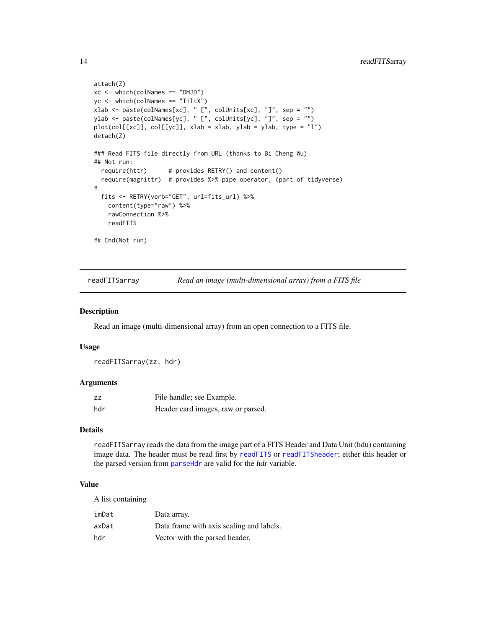```
attach(Z)
xc <- which(colNames == "DMJD")
yc <- which(colNames == "TiltX")
xlab <- paste(colNames[xc], " [", colUnits[xc], "]", sep = "")
ylab <- paste(colNames[yc], " [", colUnits[yc], "]", sep = "")
plot(col[[xc]], col[[yc]], xlab = xlab, ylab = ylab, type = "l")
detach(Z)
### Read FITS file directly from URL (thanks to Bi Cheng Wu)
## Not run:
  require(httr) # provides RETRY() and content()
  require(magrittr) # provides %>% pipe operator, (part of tidyverse)
#
  fits <- RETRY(verb="GET", url=fits_url) %>%
    content(type="raw") %>%
    rawConnection %>%
    readFITS
## End(Not run)
```
<span id="page-13-1"></span>readFITSarray *Read an image (multi-dimensional array) from a FITS file*

#### Description

Read an image (multi-dimensional array) from an open connection to a FITS file.

#### Usage

readFITSarray(zz, hdr)

#### Arguments

| ZZ  | File handle; see Example.          |
|-----|------------------------------------|
| hdr | Header card images, raw or parsed. |

#### Details

readFITSarray reads the data from the image part of a FITS Header and Data Unit (hdu) containing image data. The header must be read first by [readFITS](#page-10-1) or [readFITSheader](#page-16-1); either this header or the parsed version from [parseHdr](#page-8-1) are valid for the hdr variable.

# Value

A list containing

| imDat | Data array.                              |
|-------|------------------------------------------|
| axDat | Data frame with axis scaling and labels. |
| hdr   | Vector with the parsed header.           |

<span id="page-13-0"></span>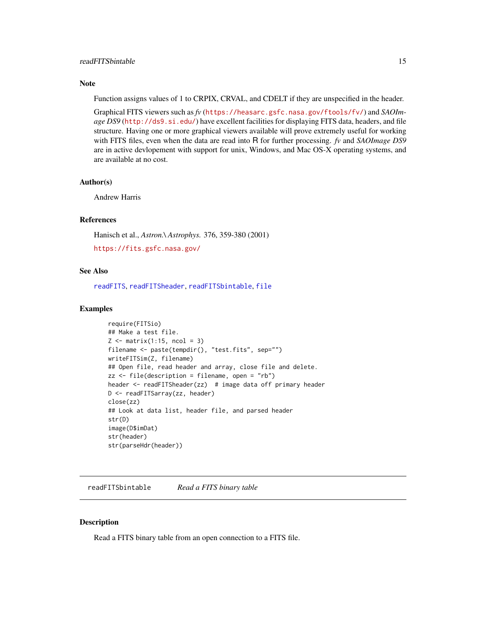#### <span id="page-14-0"></span>Note

Function assigns values of 1 to CRPIX, CRVAL, and CDELT if they are unspecified in the header.

Graphical FITS viewers such as *fv* (<https://heasarc.gsfc.nasa.gov/ftools/fv/>) and *SAOImage DS9* (<http://ds9.si.edu/>) have excellent facilities for displaying FITS data, headers, and file structure. Having one or more graphical viewers available will prove extremely useful for working with FITS files, even when the data are read into R for further processing. *fv* and *SAOImage DS9* are in active devlopement with support for unix, Windows, and Mac OS-X operating systems, and are available at no cost.

#### Author(s)

Andrew Harris

#### References

Hanisch et al., *Astron.\ Astrophys.* 376, 359-380 (2001)

<https://fits.gsfc.nasa.gov/>

# See Also

[readFITS](#page-10-1), [readFITSheader](#page-16-1), [readFITSbintable](#page-14-1), [file](#page-0-0)

#### Examples

```
require(FITSio)
## Make a test file.
Z \leftarrow matrix(1:15, ncol = 3)filename <- paste(tempdir(), "test.fits", sep="")
writeFITSim(Z, filename)
## Open file, read header and array, close file and delete.
zz <- file(description = filename, open = "rb")
header <- readFITSheader(zz) # image data off primary header
D <- readFITSarray(zz, header)
close(zz)
## Look at data list, header file, and parsed header
str(D)
image(D$imDat)
str(header)
str(parseHdr(header))
```
<span id="page-14-1"></span>readFITSbintable *Read a FITS binary table*

#### **Description**

Read a FITS binary table from an open connection to a FITS file.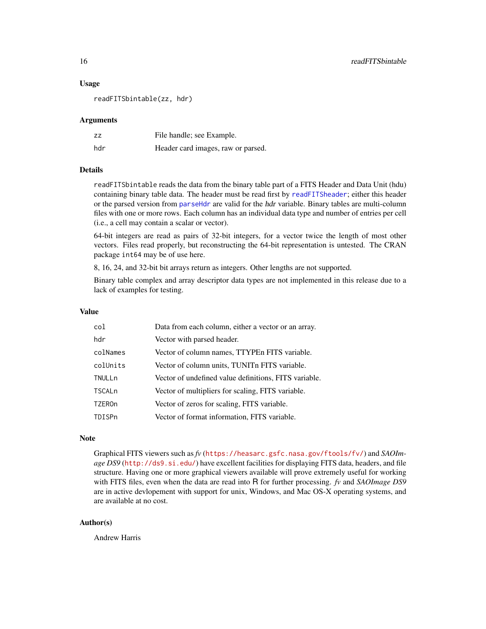#### <span id="page-15-0"></span>Usage

readFITSbintable(zz, hdr)

#### Arguments

| ZZ  | File handle; see Example.          |
|-----|------------------------------------|
| hdr | Header card images, raw or parsed. |

#### Details

readFITSbintable reads the data from the binary table part of a FITS Header and Data Unit (hdu) containing binary table data. The header must be read first by [readFITSheader](#page-16-1); either this header or the parsed version from [parseHdr](#page-8-1) are valid for the *hdr* variable. Binary tables are multi-column files with one or more rows. Each column has an individual data type and number of entries per cell (i.e., a cell may contain a scalar or vector).

64-bit integers are read as pairs of 32-bit integers, for a vector twice the length of most other vectors. Files read properly, but reconstructing the 64-bit representation is untested. The CRAN package int64 may be of use here.

8, 16, 24, and 32-bit bit arrays return as integers. Other lengths are not supported.

Binary table complex and array descriptor data types are not implemented in this release due to a lack of examples for testing.

#### Value

| col      | Data from each column, either a vector or an array.   |
|----------|-------------------------------------------------------|
| hdr      | Vector with parsed header.                            |
| colNames | Vector of column names, TTYPEn FITS variable.         |
| colUnits | Vector of column units, TUNITn FITS variable.         |
| TNULLn   | Vector of undefined value definitions, FITS variable. |
| TSCALn   | Vector of multipliers for scaling, FITS variable.     |
| TZEROn   | Vector of zeros for scaling, FITS variable.           |
| TDISPn   | Vector of format information, FITS variable.          |

#### **Note**

Graphical FITS viewers such as *fv* (<https://heasarc.gsfc.nasa.gov/ftools/fv/>) and *SAOImage DS9* (<http://ds9.si.edu/>) have excellent facilities for displaying FITS data, headers, and file structure. Having one or more graphical viewers available will prove extremely useful for working with FITS files, even when the data are read into R for further processing. *fv* and *SAOImage DS9* are in active devlopement with support for unix, Windows, and Mac OS-X operating systems, and are available at no cost.

#### Author(s)

Andrew Harris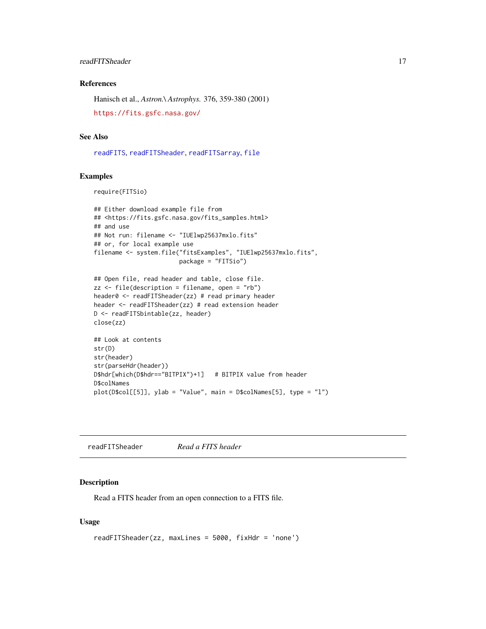# <span id="page-16-0"></span>readFITSheader 17

# References

Hanisch et al., *Astron.\ Astrophys.* 376, 359-380 (2001) <https://fits.gsfc.nasa.gov/>

# See Also

[readFITS](#page-10-1), [readFITSheader](#page-16-1), [readFITSarray](#page-13-1), [file](#page-0-0)

# Examples

require(FITSio)

```
## Either download example file from
## <https://fits.gsfc.nasa.gov/fits_samples.html>
## and use
## Not run: filename <- "IUElwp25637mxlo.fits"
## or, for local example use
filename <- system.file("fitsExamples", "IUElwp25637mxlo.fits",
                        package = "FITSio")
```

```
## Open file, read header and table, close file.
zz \le file(description = filename, open = "rb")
header0 <- readFITSheader(zz) # read primary header
header <- readFITSheader(zz) # read extension header
D <- readFITSbintable(zz, header)
close(zz)
## Look at contents
str(D)
str(header)
str(parseHdr(header))
```

```
D$hdr[which(D$hdr=="BITPIX")+1] # BITPIX value from header
D$colNames
plot(D$col[[5]], ylab = "Value", main = D$colNames[5], type = "l")
```
<span id="page-16-1"></span>readFITSheader *Read a FITS header*

#### Description

Read a FITS header from an open connection to a FITS file.

#### Usage

```
readFITSheader(zz, maxLines = 5000, fixHdr = 'none')
```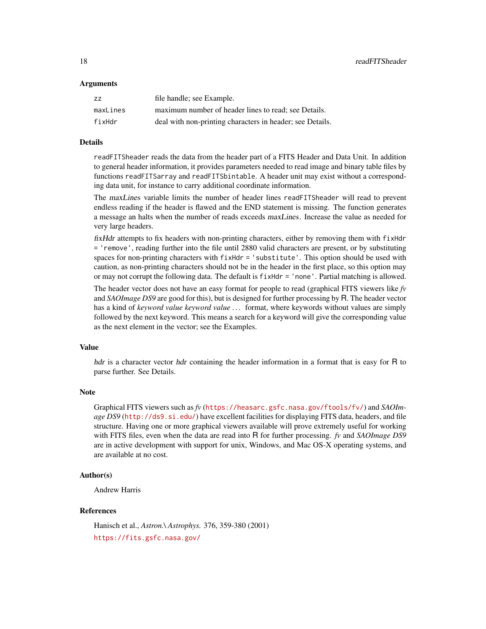#### Arguments

| ZZ.      | file handle; see Example.                                 |
|----------|-----------------------------------------------------------|
| maxLines | maximum number of header lines to read; see Details.      |
| fixHdr   | deal with non-printing characters in header; see Details. |

#### Details

readFITSheader reads the data from the header part of a FITS Header and Data Unit. In addition to general header information, it provides parameters needed to read image and binary table files by functions readFITSarray and readFITSbintable. A header unit may exist without a corresponding data unit, for instance to carry additional coordinate information.

The maxLines variable limits the number of header lines readFITSheader will read to prevent endless reading if the header is flawed and the END statement is missing. The function generates a message an halts when the number of reads exceeds maxLines. Increase the value as needed for very large headers.

fixHdr attempts to fix headers with non-printing characters, either by removing them with fixHdr = 'remove', reading further into the file until 2880 valid characters are present, or by substituting spaces for non-printing characters with fixHdr = 'substitute'. This option should be used with caution, as non-printing characters should not be in the header in the first place, so this option may or may not corrupt the following data. The default is fixHdr = 'none'. Partial matching is allowed.

The header vector does not have an easy format for people to read (graphical FITS viewers like *fv* and *SAOImage DS9* are good for this), but is designed for further processing by R. The header vector has a kind of *keyword value keyword value . . .* format, where keywords without values are simply followed by the next keyword. This means a search for a keyword will give the corresponding value as the next element in the vector; see the Examples.

#### Value

hdr is a character vector hdr containing the header information in a format that is easy for R to parse further. See Details.

# Note

Graphical FITS viewers such as *fv* (<https://heasarc.gsfc.nasa.gov/ftools/fv/>) and *SAOImage DS9* (<http://ds9.si.edu/>) have excellent facilities for displaying FITS data, headers, and file structure. Having one or more graphical viewers available will prove extremely useful for working with FITS files, even when the data are read into R for further processing. *fv* and *SAOImage DS9* are in active development with support for unix, Windows, and Mac OS-X operating systems, and are available at no cost.

# Author(s)

Andrew Harris

# References

Hanisch et al., *Astron.\ Astrophys.* 376, 359-380 (2001) <https://fits.gsfc.nasa.gov/>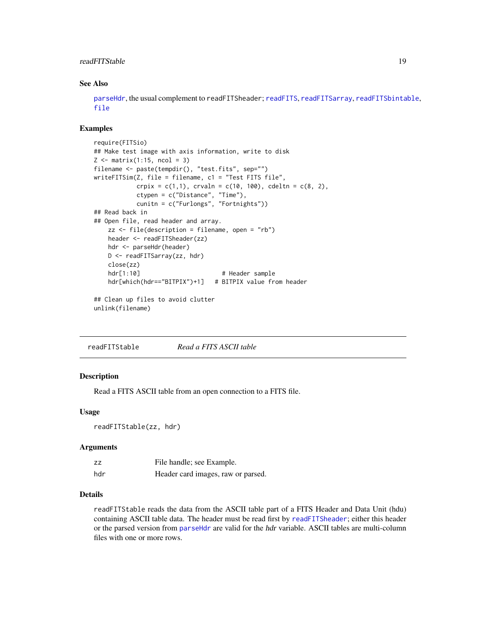# <span id="page-18-0"></span>readFITStable 19

# See Also

[parseHdr](#page-8-1), the usual complement to [readFITS](#page-10-1)header; readFITS, [readFITSarray](#page-13-1), [readFITSbintable](#page-14-1), [file](#page-0-0)

#### Examples

```
require(FITSio)
## Make test image with axis information, write to disk
Z \leftarrow matrix(1:15, ncol = 3)filename <- paste(tempdir(), "test.fits", sep="")
writeFITSim(Z, file = filename, c1 = "Test FITS file",
           crpix = c(1,1), crvahn = c(10, 100), cdeltn = c(8, 2),
           ctypen = c("Distance", "Time"),
           cunitn = c("Furlongs", "Fortnights"))
## Read back in
## Open file, read header and array.
   zz \le file(description = filename, open = "rb")
   header <- readFITSheader(zz)
   hdr <- parseHdr(header)
   D <- readFITSarray(zz, hdr)
   close(zz)
   hdr[1:10] # Header sample
   hdr[which(hdr=="BITPIX")+1] # BITPIX value from header
## Clean up files to avoid clutter
unlink(filename)
```
readFITStable *Read a FITS ASCII table*

# **Description**

Read a FITS ASCII table from an open connection to a FITS file.

#### Usage

```
readFITStable(zz, hdr)
```
#### **Arguments**

| ΖZ  | File handle; see Example.          |
|-----|------------------------------------|
| hdr | Header card images, raw or parsed. |

# Details

readFITStable reads the data from the ASCII table part of a FITS Header and Data Unit (hdu) containing ASCII table data. The header must be read first by [readFITSheader](#page-16-1); either this header or the parsed version from [parseHdr](#page-8-1) are valid for the hdr variable. ASCII tables are multi-column files with one or more rows.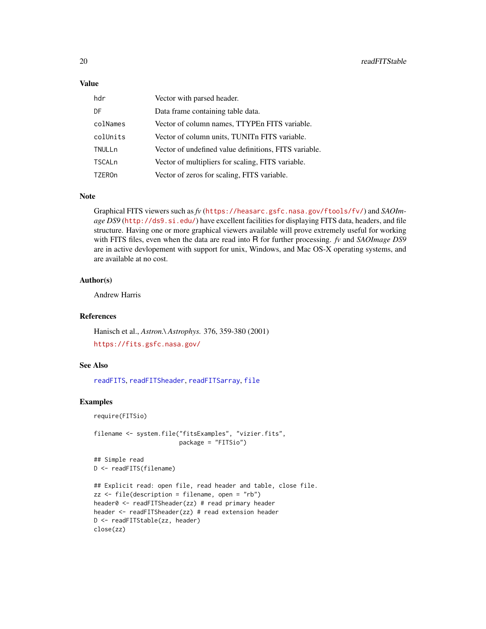#### <span id="page-19-0"></span>Value

| hdr           | Vector with parsed header.                            |
|---------------|-------------------------------------------------------|
| DF            | Data frame containing table data.                     |
| colNames      | Vector of column names, TTYPEn FITS variable.         |
| colUnits      | Vector of column units, TUNIT FITS variable.          |
| TNULLn        | Vector of undefined value definitions, FITS variable. |
| <b>TSCALn</b> | Vector of multipliers for scaling, FITS variable.     |
| <b>TZEROn</b> | Vector of zeros for scaling, FITS variable.           |

# Note

Graphical FITS viewers such as *fv* (<https://heasarc.gsfc.nasa.gov/ftools/fv/>) and *SAOImage DS9* (<http://ds9.si.edu/>) have excellent facilities for displaying FITS data, headers, and file structure. Having one or more graphical viewers available will prove extremely useful for working with FITS files, even when the data are read into R for further processing. *fv* and *SAOImage DS9* are in active devlopement with support for unix, Windows, and Mac OS-X operating systems, and are available at no cost.

#### Author(s)

Andrew Harris

#### References

Hanisch et al., *Astron.\ Astrophys.* 376, 359-380 (2001) <https://fits.gsfc.nasa.gov/>

# See Also

[readFITS](#page-10-1), [readFITSheader](#page-16-1), [readFITSarray](#page-13-1), [file](#page-0-0)

```
require(FITSio)
```

```
filename <- system.file("fitsExamples", "vizier.fits",
                        package = "FITSio")
## Simple read
```

```
D <- readFITS(filename)
```

```
## Explicit read: open file, read header and table, close file.
zz <- file(description = filename, open = "rb")
header0 <- readFITSheader(zz) # read primary header
header <- readFITSheader(zz) # read extension header
D <- readFITStable(zz, header)
close(zz)
```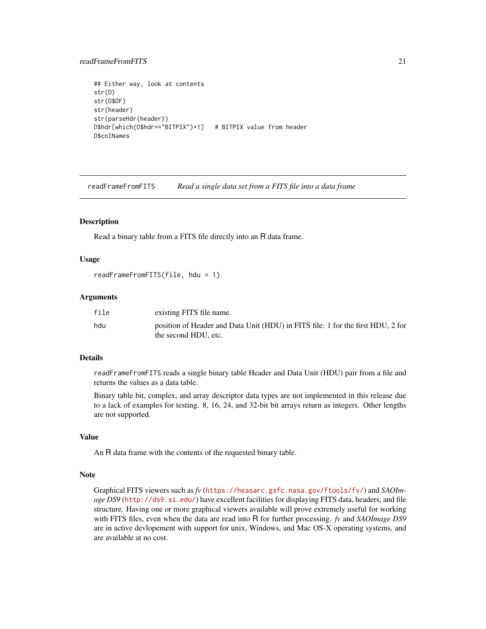# <span id="page-20-0"></span>readFrameFromFITS 21

```
## Either way, look at contents
str(D)
str(D$DF)
str(header)
str(parseHdr(header))
D$hdr[which(D$hdr=="BITPIX")+1] # BITPIX value from header
D$colNames
```
<span id="page-20-1"></span>readFrameFromFITS *Read a single data set from a FITS file into a data frame*

# **Description**

Read a binary table from a FITS file directly into an R data frame.

#### Usage

```
readFrameFromFITS(file, hdu = 1)
```
#### Arguments

| file | existing FITS file name.                                                                                |
|------|---------------------------------------------------------------------------------------------------------|
| hdu  | position of Header and Data Unit (HDU) in FITS file: 1 for the first HDU, 2 for<br>the second HDU, etc. |

# Details

readFrameFromFITS reads a single binary table Header and Data Unit (HDU) pair from a file and returns the values as a data table.

Binary table bit, complex, and array descriptor data types are not implemented in this release due to a lack of examples for testing. 8, 16, 24, and 32-bit bit arrays return as integers. Other lengths are not supported.

# Value

An R data frame with the contents of the requested binary table.

#### Note

Graphical FITS viewers such as *fv* (<https://heasarc.gsfc.nasa.gov/ftools/fv/>) and *SAOImage DS9* (<http://ds9.si.edu/>) have excellent facilities for displaying FITS data, headers, and file structure. Having one or more graphical viewers available will prove extremely useful for working with FITS files, even when the data are read into R for further processing. *fv* and *SAOImage DS9* are in active devlopement with support for unix, Windows, and Mac OS-X operating systems, and are available at no cost.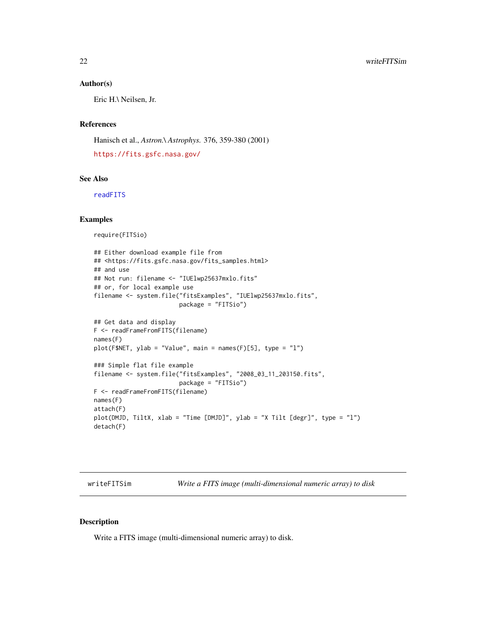#### <span id="page-21-0"></span>Author(s)

Eric H.\ Neilsen, Jr.

# References

Hanisch et al., *Astron.\ Astrophys.* 376, 359-380 (2001) <https://fits.gsfc.nasa.gov/>

# See Also

[readFITS](#page-10-1)

#### Examples

require(FITSio)

```
## Either download example file from
## <https://fits.gsfc.nasa.gov/fits_samples.html>
## and use
## Not run: filename <- "IUElwp25637mxlo.fits"
## or, for local example use
filename <- system.file("fitsExamples", "IUElwp25637mxlo.fits",
                        package = "FITSio")
## Get data and display
F <- readFrameFromFITS(filename)
names(F)
plot(F$NET, ylab = "Value", main = names(F)[5], type = "l")
### Simple flat file example
filename <- system.file("fitsExamples", "2008_03_11_203150.fits",
                        package = "FITSio")
F <- readFrameFromFITS(filename)
names(F)
attach(F)
plot(DMJD, TiltX, xlab = "Time [DMJD]", ylab = "X Tilt [degr]", type = "l")
detach(F)
```
<span id="page-21-1"></span>writeFITSim *Write a FITS image (multi-dimensional numeric array) to disk*

#### Description

Write a FITS image (multi-dimensional numeric array) to disk.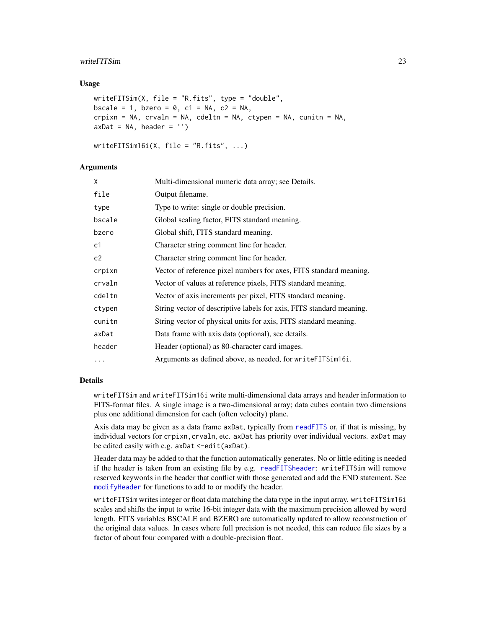#### <span id="page-22-0"></span>writeFITSim 23

#### Usage

```
writeFITSim(X, file = "R.fits", type = "double",
bscale = 1, bzero = 0, c1 = NA, c2 = NA,
crpixn = NA, crvaln = NA, cdeltn = NA, ctypen = NA, cunitn = NA,
axDat = NA, header = ')
```

```
writeFITSim16i(X, file = "R.fits", ...)
```
#### Arguments

| X              | Multi-dimensional numeric data array; see Details.                   |
|----------------|----------------------------------------------------------------------|
| file           | Output filename.                                                     |
| type           | Type to write: single or double precision.                           |
| bscale         | Global scaling factor, FITS standard meaning.                        |
| bzero          | Global shift, FITS standard meaning.                                 |
| c <sub>1</sub> | Character string comment line for header.                            |
| c2             | Character string comment line for header.                            |
| crpixn         | Vector of reference pixel numbers for axes, FITS standard meaning.   |
| crvaln         | Vector of values at reference pixels, FITS standard meaning.         |
| cdeltn         | Vector of axis increments per pixel, FITS standard meaning.          |
| ctypen         | String vector of descriptive labels for axis, FITS standard meaning. |
| cunitn         | String vector of physical units for axis, FITS standard meaning.     |
| axDat          | Data frame with axis data (optional), see details.                   |
| header         | Header (optional) as 80-character card images.                       |
| $\cdots$       | Arguments as defined above, as needed, for write FITS im 16i.        |

# Details

writeFITSim and writeFITSim16i write multi-dimensional data arrays and header information to FITS-format files. A single image is a two-dimensional array; data cubes contain two dimensions plus one additional dimension for each (often velocity) plane.

Axis data may be given as a data frame axDat, typically from [readFITS](#page-10-1) or, if that is missing, by individual vectors for crpixn, crvaln, etc. axDat has priority over individual vectors. axDat may be edited easily with e.g. axDat <-edit(axDat).

Header data may be added to that the function automatically generates. No or little editing is needed if the header is taken from an existing file by e.g. [readFITSheader](#page-16-1): writeFITSim will remove reserved keywords in the header that conflict with those generated and add the END statement. See [modifyHeader](#page-7-1) for functions to add to or modify the header.

writeFITSim writes integer or float data matching the data type in the input array. writeFITSim16i scales and shifts the input to write 16-bit integer data with the maximum precision allowed by word length. FITS variables BSCALE and BZERO are automatically updated to allow reconstruction of the original data values. In cases where full precision is not needed, this can reduce file sizes by a factor of about four compared with a double-precision float.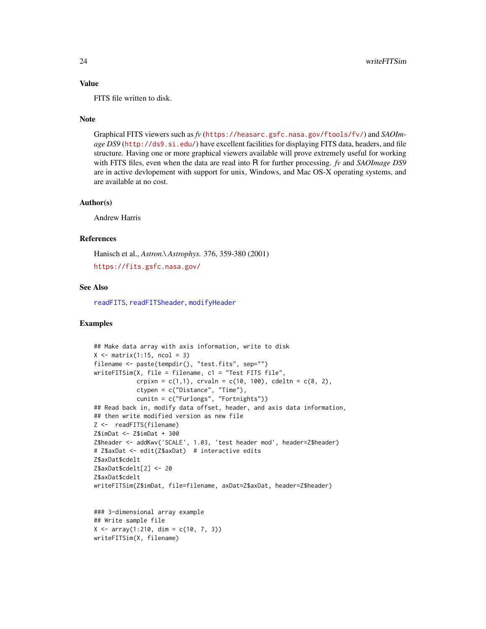#### <span id="page-23-0"></span>Value

FITS file written to disk.

#### **Note**

Graphical FITS viewers such as *fv* (<https://heasarc.gsfc.nasa.gov/ftools/fv/>) and *SAOImage DS9* (<http://ds9.si.edu/>) have excellent facilities for displaying FITS data, headers, and file structure. Having one or more graphical viewers available will prove extremely useful for working with FITS files, even when the data are read into R for further processing. *fv* and *SAOImage DS9* are in active devlopement with support for unix, Windows, and Mac OS-X operating systems, and are available at no cost.

#### Author(s)

Andrew Harris

#### **References**

Hanisch et al., *Astron.\ Astrophys.* 376, 359-380 (2001)

```
https://fits.gsfc.nasa.gov/
```
# See Also

[readFITS](#page-10-1), [readFITSheader](#page-16-1), [modifyHeader](#page-7-1)

```
## Make data array with axis information, write to disk
X \leftarrow matrix(1:15, ncol = 3)filename <- paste(tempdir(), "test.fits", sep="")
writeFITSim(X, file = filename, c1 = "Test FITS file",
            crpixn = c(1,1), crvaln = c(10, 100), cdeltn = c(8, 2),
            ctypen = c("Distance", "Time"),
            cunitn = c("Furlongs", "Fortnights"))
## Read back in, modify data offset, header, and axis data information,
## then write modified version as new file
Z <- readFITS(filename)
Z$imDat <- Z$imDat + 300
Z$header <- addKwv('SCALE', 1.03, 'test header mod', header=Z$header)
# Z$axDat <- edit(Z$axDat) # interactive edits
Z$axDat$cdelt
Z$axDat$cdelt[2] <- 20
Z$axDat$cdelt
writeFITSim(Z$imDat, file=filename, axDat=Z$axDat, header=Z$header)
```

```
### 3-dimensional array example
## Write sample file
X \le -\arctan(1:210, \, \dim = c(10, 7, 3))writeFITSim(X, filename)
```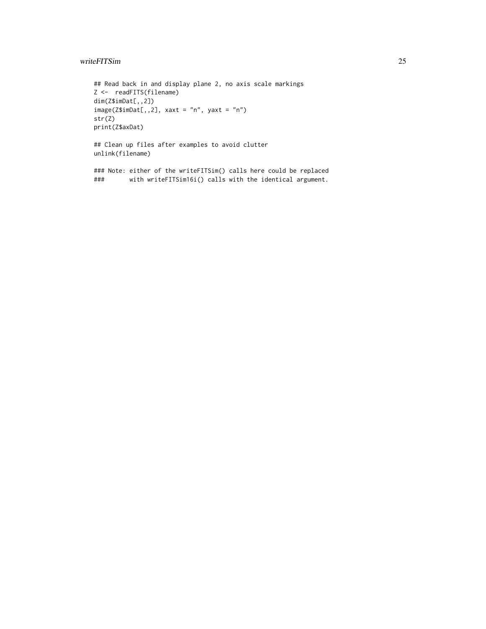# writeFITSim 25

```
## Read back in and display plane 2, no axis scale markings
Z <- readFITS(filename)
dim(Z$imDat[,,2])
image(Z$imData[, 2], xaxt = "n", yaxt = "n")str(Z)
print(Z$axDat)
## Clean up files after examples to avoid clutter
unlink(filename)
```
### Note: either of the writeFITSim() calls here could be replaced with writeFITSim16i() calls with the identical argument.